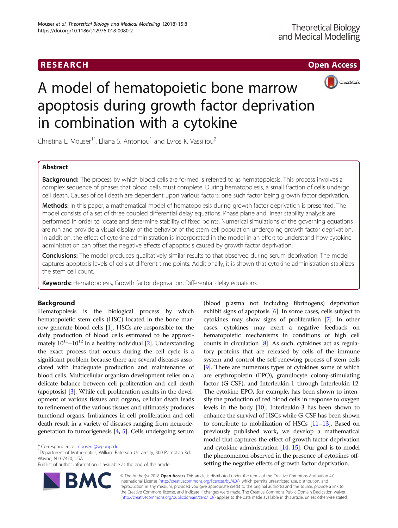## RESEARCH **RESEARCH CHOOSE ACCESS**



# A model of hematopoietic bone marrow apoptosis during growth factor deprivation in combination with a cytokine

Christina L. Mouser<sup>1\*</sup>, Eliana S. Antoniou<sup>1</sup> and Evros K. Vassiliou<sup>2</sup>

## Abstract

Background: The process by which blood cells are formed is referred to as hematopoiesis. This process involves a complex sequence of phases that blood cells must complete. During hematopoiesis, a small fraction of cells undergo cell death. Causes of cell death are dependent upon various factors; one such factor being growth factor deprivation.

Methods: In this paper, a mathematical model of hematopoiesis during growth factor deprivation is presented. The model consists of a set of three coupled differential delay equations. Phase plane and linear stability analysis are performed in order to locate and determine stability of fixed points. Numerical simulations of the governing equations are run and provide a visual display of the behavior of the stem cell population undergoing growth factor deprivation. In addition, the effect of cytokine administration is incorporated in the model in an effort to understand how cytokine administration can offset the negative effects of apoptosis caused by growth factor deprivation.

Conclusions: The model produces qualitatively similar results to that observed during serum deprivation. The model captures apoptosis levels of cells at different time points. Additionally, it is shown that cytokine administration stabilizes the stem cell count.

Keywords: Hematopoiesis, Growth factor deprivation, Differential delay equations

## Background

Hematopoiesis is the biological process by which hematopoietic stem cells (HSC) located in the bone marrow generate blood cells [\[1\]](#page-4-0). HSCs are responsible for the daily production of blood cells estimated to be approximately  $10^{11}$ – $10^{12}$  $10^{12}$  $10^{12}$  in a healthy individual [2]. Understanding the exact process that occurs during the cell cycle is a significant problem because there are several diseases associated with inadequate production and maintenance of blood cells. Multicellular organism development relies on a delicate balance between cell proliferation and cell death (apoptosis) [\[3](#page-4-0)]. While cell proliferation results in the development of various tissues and organs, cellular death leads to refinement of the various tissues and ultimately produces functional organs. Imbalances in cell proliferation and cell death result in a variety of diseases ranging from neurodegeneration to tumorigenesis  $[4, 5]$  $[4, 5]$  $[4, 5]$ . Cells undergoing serum

BA

<sup>1</sup>Department of Mathematics, William Paterson University, 300 Pompton Rd, Wayne, NJ 07470, USA

Full list of author information is available at the end of the article



© The Author(s). 2018 Open Access This article is distributed under the terms of the Creative Commons Attribution 4.0 International License [\(http://creativecommons.org/licenses/by/4.0/](http://creativecommons.org/licenses/by/4.0/)), which permits unrestricted use, distribution, and reproduction in any medium, provided you give appropriate credit to the original author(s) and the source, provide a link to the Creative Commons license, and indicate if changes were made. The Creative Commons Public Domain Dedication waiver [\(http://creativecommons.org/publicdomain/zero/1.0/](http://creativecommons.org/publicdomain/zero/1.0/)) applies to the data made available in this article, unless otherwise stated.

<sup>\*</sup> Correspondence: [mouserc@wpunj.edu](mailto:mouserc@wpunj.edu) <sup>1</sup>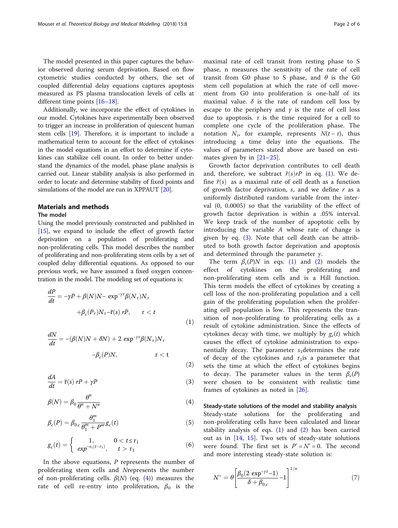<span id="page-1-0"></span>The model presented in this paper captures the behavior observed during serum deprivation. Based on flow cytometric studies conducted by others, the set of coupled differential delay equations captures apoptosis measured as PS plasma translocation levels of cells at different time points [[16](#page-4-0)–[18](#page-4-0)].

Additionally, we incorporate the effect of cytokines in our model. Cytokines have experimentally been observed to trigger an increase in proliferation of quiescent human stem cells [\[19\]](#page-4-0). Therefore, it is important to include a mathematical term to account for the effect of cytokines in the model equations in an effort to determine if cytokines can stabilize cell count. In order to better understand the dynamics of the model, phase plane analysis is carried out. Linear stability analysis is also performed in order to locate and determine stability of fixed points and simulations of the model are run in XPPAUT [[20](#page-4-0)].

## Materials and methods

## The model

Using the model previously constructed and published in [[15](#page-4-0)], we expand to include the effect of growth factor deprivation on a population of proliferating and non-proliferating cells. This model describes the number of proliferating and non-proliferating stem cells by a set of coupled delay differential equations. As opposed to our previous work, we have assumed a fixed oxygen concentration in the model. The modeling set of equations is:

$$
\frac{dP}{dt} = -\gamma P + \beta(N)N - \exp^{-\gamma \tau} \beta(N_{\tau})N_{\tau} + \beta_c(P_{\tau})N_{\tau} - \bar{\mathbf{r}}(s) rP, \qquad \tau < t
$$
\n(1)

$$
\frac{dN}{dt} = -(\beta(N)N + \delta N) + 2 \exp^{-\gamma \tau} \beta(N_{\tau}) N_{\tau}
$$

$$
-\beta_c(P)N, \qquad \tau < t
$$

$$
\frac{dA}{dt} = \bar{\mathbf{r}}(s) \ rP + \gamma P \tag{3}
$$

 $(2)$ 

$$
\beta(N) = \beta_0 \frac{\theta^n}{\theta^n + N^n} \tag{4}
$$

$$
\beta_c(P) = \beta_{0,c} \frac{\theta_1^m}{\theta_1^m + P^m} g_c(t) \tag{5}
$$

$$
g_c(t) = \begin{cases} 1, & 0 < t \le \tau_1 \\ exp^{-s_1(t-\tau_1)}, & t > \tau_1 \end{cases}
$$
 (6)

In the above equations,  *represents the number of* proliferating stem cells and Nrepresents the number of non-proliferating cells.  $\beta(N)$  (eq. (4)) measures the rate of cell re-entry into proliferation,  $\beta_0$  is the

maximal rate of cell transit from resting phase to S phase, n measures the sensitivity of the rate of cell transit from G0 phase to S phase, and  $\theta$  is the G0 stem cell population at which the rate of cell movement from G0 into proliferation is one-half of its maximal value.  $\delta$  is the rate of random cell loss by escape to the periphery and  $\gamma$  is the rate of cell loss due to apoptosis.  $\tau$  is the time required for a cell to complete one cycle of the proliferation phase. The notation  $N_{\tau}$  for example, represents  $N(t - \tau)$ , thus introducing a time delay into the equations. The values of parameters stated above are based on estimates given by in [[21](#page-4-0)–[25\]](#page-5-0).

Growth factor deprivation contributes to cell death and, therefore, we subtract  $\overline{r}(s)rP$  in eq. (1). We define  $\overline{r}(s)$  as a maximal rate of cell death as a function of growth factor deprivation,  $s$ , and we define  $r$  as a uniformly distributed random variable from the interval (0, 0.0005) so that the variability of the effect of growth factor deprivation is within a .05% interval. We keep track of the number of apoptotic cells by introducing the variable A whose rate of change is given by eq.  $(3)$ . Note that cell death can be attributed to both growth factor deprivation and apoptosis and determined through the parameter  $\gamma$ .

The term  $\beta_c(P)N$  in eqs. (1) and (2) models the effect of cytokines on the proliferating and non-proliferating stem cells and is a Hill function. This term models the effect of cytokines by creating a cell loss of the non-proliferating population and a cell gain of the proliferating population when the proliferating cell population is low. This represents the transition of non-proliferating to proliferating cells as a result of cytokine administration. Since the effects of cytokines decay with time, we multiply by  $g_c(t)$  which causes the effect of cytokine administration to exponentially decay. The parameter  $s_1$  determines the rate of decay of the cytokines and  $\tau_1$ is a parameter that sets the time at which the effect of cytokines begins to decay. The parameter values in the term  $\beta_c(P)$ were chosen to be consistent with realistic time frames of cytokines as noted in [[26\]](#page-5-0).

#### Steady-state solutions of the model and stability analysis

Steady-state solutions for the proliferating and non-proliferating cells have been calculated and linear stability analysis of eqs.  $(1)$  and  $(2)$  has been carried out as in [[14,](#page-4-0) [15\]](#page-4-0). Two sets of steady-state solutions were found. The first set is  $P^* = N^* = 0$ . The second and more interesting steady-state solution is:

$$
N^* = \theta \left[ \frac{\beta_0 (2 \exp^{-\gamma \tau} - 1)}{\delta + \beta_{0,c}} - 1 \right]^{1/n}
$$
 (7)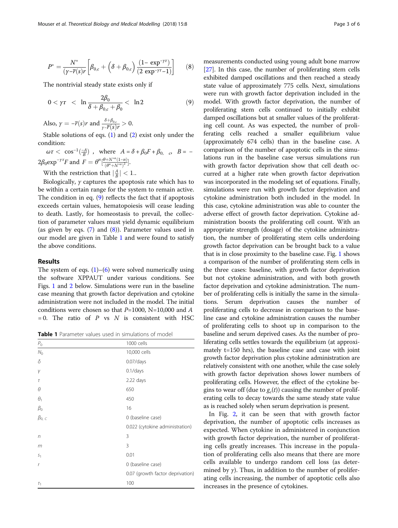$$
P^* = \frac{N^*}{(\gamma - \overline{r}(s)r} \left[ \beta_{0,c} + \left( \delta + \beta_{0,c} \right) \frac{(1 - \exp^{-\gamma r})}{(2 \exp^{-\gamma r} - 1)} \right] \tag{8}
$$

The nontrivial steady state exists only if

$$
0 < \gamma \tau < \ln \frac{2\beta_0}{\delta + \beta_{0,c} + \beta_0} < \ln 2 \tag{9}
$$

Also, 
$$
\gamma = -\overline{r}(s)r
$$
 and  $\frac{\delta + \beta_{0,c}}{\gamma - \overline{r}(s)r} > 0$ .

Stable solutions of eqs.  $(1)$  $(1)$  and  $(2)$  $(2)$  exist only under the condition:

 $\omega \tau < \cos^{-1}(\frac{-A}{B})$ , where  $A = \delta + \beta_0 F + \beta_0$ ,  $\sigma$ ,  $B = -\frac{A}{B}$ 2β<sub>0</sub>exp<sup>-γτ</sup>F and  $F = \theta^n \left[ \frac{\theta + N^{*n} (1-n)}{(\theta^n + N^{*n})^2} \right]$  $\frac{n+N(1-n)}{(\theta^{n}+N^{*n})^2}$ .

With the restriction that  $\left|\frac{A}{B}\right| < 1$ ..

Biologically,  $\gamma$  captures the apoptosis rate which has to be within a certain range for the system to remain active. The condition in eq. (9) reflects the fact that if apoptosis exceeds certain values, hematopoiesis will cease leading to death. Lastly, for homeostasis to prevail, the collection of parameter values must yield dynamic equilibrium (as given by eqs.  $(7)$  $(7)$  and  $(8)$ ). Parameter values used in our model are given in Table 1 and were found to satisfy the above conditions.

## Results

The system of eqs.  $(1)$  $(1)$ – $(6)$  $(6)$  $(6)$  were solved numerically using the software XPPAUT under various conditions. See Figs. [1](#page-3-0) and [2](#page-3-0) below. Simulations were run in the baseline case meaning that growth factor deprivation and cytokine administration were not included in the model. The initial conditions were chosen so that  $P=1000$ , N=10,000 and A  $= 0$ . The ratio of P vs N is consistent with HSC

Table 1 Parameter values used in simulations of model

| $\mathcal{P}_0$ | 1000 cells                       |
|-----------------|----------------------------------|
| N <sub>0</sub>  | 10,000 cells                     |
| δ               | $0.07$ /days                     |
| γ               | $0.1$ /days                      |
| $\tau$          | 2.22 days                        |
| θ               | 650                              |
| $\theta_1$      | 450                              |
| $\beta_0$       | 16                               |
| $\beta_{0, C}$  | 0 (baseline case)                |
|                 | 0.022 (cytokine administration)  |
| n               | 3                                |
| m               | 3                                |
| S <sub>1</sub>  | 0.01                             |
| $\mathbf{r}$    | 0 (baseline case)                |
|                 | 0.07 (growth factor deprivation) |
| $\tau_1$        | 100                              |
|                 |                                  |

measurements conducted using young adult bone marrow [[27](#page-5-0)]. In this case, the number of proliferating stem cells exhibited damped oscillations and then reached a steady state value of approximately 775 cells. Next, simulations were run with growth factor deprivation included in the model. With growth factor deprivation, the number of proliferating stem cells continued to initially exhibit damped oscillations but at smaller values of the proliferating cell count. As was expected, the number of proliferating cells reached a smaller equilibrium value (approximately 674 cells) than in the baseline case. A comparison of the number of apoptotic cells in the simulations run in the baseline case versus simulations run with growth factor deprivation show that cell death occurred at a higher rate when growth factor deprivation was incorporated in the modeling set of equations. Finally, simulations were run with growth factor deprivation and cytokine administration both included in the model. In this case, cytokine administration was able to counter the adverse effect of growth factor deprivation. Cytokine administration boosts the proliferating cell count. With an appropriate strength (dosage) of the cytokine administration, the number of proliferating stem cells underdoing growth factor deprivation can be brought back to a value that is in close proximity to the baseline case. Fig. [1](#page-3-0) shows a comparison of the number of proliferating stem cells in the three cases: baseline, with growth factor deprivation but not cytokine administration, and with both growth factor deprivation and cytokine administration. The number of proliferating cells is initially the same in the simulations. Serum deprivation causes the number of proliferating cells to decrease in comparison to the baseline case and cytokine administration causes the number of proliferating cells to shoot up in comparison to the baseline and serum deprived cases. As the number of proliferating cells settles towards the equilibrium (at approximately t=150 hrs), the baseline case and case with joint growth factor deprivation plus cytokine administration are relatively consistent with one another, while the case solely with growth factor deprivation shows lower numbers of proliferating cells. However, the effect of the cytokine begins to wear off (due to  $g_c(t)$ ) causing the number of proliferating cells to decay towards the same steady state value as is reached solely when serum deprivation is present.

In Fig. [2](#page-3-0), it can be seen that with growth factor deprivation, the number of apoptotic cells increases as expected. When cytokine in administered in conjunction with growth factor deprivation, the number of proliferating cells greatly increases. This increase in the population of proliferating cells also means that there are more cells available to undergo random cell loss (as determined by  $\gamma$ ). Thus, in addition to the number of proliferating cells increasing, the number of apoptotic cells also increases in the presence of cytokines.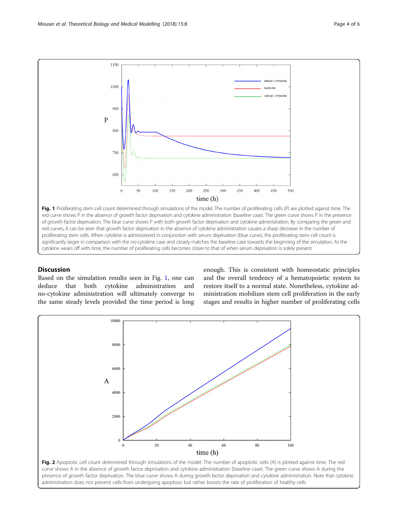<span id="page-3-0"></span>

red curves, it can be seen that growth factor deprivation in the absence of cytokine administration causes a sharp decrease in the number of proliferating stem cells. When cytokine is administered in conjunction with serum deprivation (blue curve), the proliferating stem cell count is significantly larger in comparison with the no-cytokine case and closely matches the baseline case towards the beginning of the simulation. As the cytokine wears off with time, the number of proliferating cells becomes closer to that of when serum deprivation is solely present

## **Discussion**

Based on the simulation results seen in Fig. 1, one can deduce that both cytokine administration and no-cytokine administration will ultimately converge to the same steady levels provided the time period is long

enough. This is consistent with homeostatic principles and the overall tendency of a hematopoietic system to restore itself to a normal state. Nonetheless, cytokine administration mobilizes stem cell proliferation in the early stages and results in higher number of proliferating cells

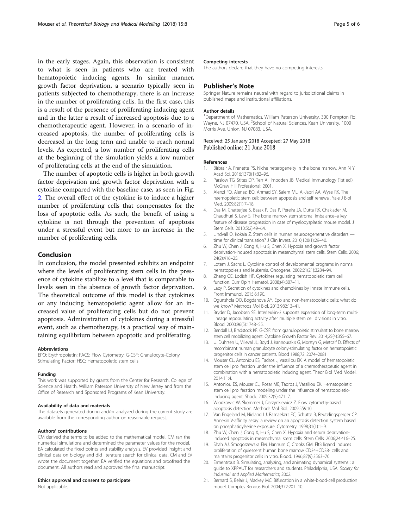<span id="page-4-0"></span>in the early stages. Again, this observation is consistent to what is seen in patients who are treated with hematopoietic inducing agents. In similar manner, growth factor deprivation, a scenario typically seen in patients subjected to chemotherapy, there is an increase in the number of proliferating cells. In the first case, this is a result of the presence of proliferating inducing agent and in the latter a result of increased apoptosis due to a chemotherapeutic agent. However, in a scenario of increased apoptosis, the number of proliferating cells is decreased in the long term and unable to reach normal levels. As expected, a low number of proliferating cells at the beginning of the simulation yields a low number of proliferating cells at the end of the simulation.

The number of apoptotic cells is higher in both growth factor deprivation and growth factor deprivation with a cytokine compared with the baseline case, as seen in Fig. [2.](#page-3-0) The overall effect of the cytokine is to induce a higher number of proliferating cells that compensates for the loss of apoptotic cells. As such, the benefit of using a cytokine is not through the prevention of apoptosis under a stressful event but more to an increase in the number of proliferating cells.

## Conclusion

In conclusion, the model presented exhibits an endpoint where the levels of proliferating stem cells in the presence of cytokine stabilize to a level that is comparable to levels seen in the absence of growth factor deprivation. The theoretical outcome of this model is that cytokines or any inducing hematopoietic agent allow for an increased value of proliferating cells but do not prevent apoptosis. Administration of cytokines during a stressful event, such as chemotherapy, is a practical way of maintaining equilibrium between apoptotic and proliferating.

#### Abbreviations

EPO: Erythropoietin; FACS: Flow Cytometry; G-CSF: Granulocyte-Colony Stimulating Factor; HSC: Hematopoietic stem cells

#### Funding

This work was supported by grants from the Center for Research, College of Science and Health, William Paterson University of New Jersey and from the Office of Research and Sponsored Programs of Kean University.

#### Availability of data and materials

The datasets generated during and/or analyzed during the current study are available from the corresponding author on reasonable request.

#### Authors' contributions

CM derived the terms to be added to the mathematical model. CM ran the numerical simulations and determined the parameter values for the model. EA calculated the fixed points and stability analysis. EV provided insight and clinical data on biology and did literature search for clinical data. CM and EV wrote the document together. EA verified the equations and proofread the document. All authors read and approved the final manuscript.

#### Ethics approval and consent to participate

Not applicable.

#### Competing interests

The authors declare that they have no competing interests.

## Publisher's Note

Springer Nature remains neutral with regard to jurisdictional claims in published maps and institutional affiliations.

#### Author details

<sup>1</sup>Department of Mathematics, William Paterson University, 300 Pompton Rd, Wayne, NJ 07470, USA. <sup>2</sup>School of Natural Sciences, Kean University, 1000 Morris Ave, Union, NJ 07083, USA.

### Received: 25 January 2018 Accepted: 27 May 2018 Published online: 21 June 2018

#### References

- 1. Birbrair A, Frenette PS. Niche heterogeneity in the bone marrow. Ann N Y Acad Sci. 2016;1370(1):82–96.
- 2. Parslow TG, Stites DP, Terr AI, Imboden JB, Medical Immunology (1st ed.), McGraw Hill Professional; 2001.
- 3. Alenzi FQ, Alenazi BQ, Ahmad SY, Salem ML, Al-Jabri AA, Wyse RK. The haemopoietic stem cell: between apoptosis and self renewal. Yale J Biol Med. 2009;82(1):7–18.
- 4. Das M, Chatterjee S, Basak P, Das P, Pereira JA, Dutta RK, Chaklader M, Chaudhuri S, Law S. The bone marrow stem stromal imbalance–a key feature of disease progression in case of myelodysplastic mouse model. J Stem Cells. 2010;5(2):49–64.
- 5. Lindvall O, Kokaia Z. Stem cells in human neurodegenerative disorders time for clinical translation? J Clin Invest. 2010;120(1):29–40.
- 6. Zhu W, Chen J, Cong X, Hu S, Chen X. Hypoxia and growth factor deprivation-induced apoptosis in mesenchymal stem cells. Stem Cells. 2006; 24(2):416–25.
- 7. Lotem J, Sachs L. Cytokine control of developmental programs in normal hematopoiesis and leukemia. Oncogene. 2002;21(21):3284–94.
- 8. Zhang CC, Lodish HF. Cytokines regulating hematopoietic stem cell function. Curr Opin Hematol. 2008;(4):307–11.
- 9. Lacy P. Secretion of cytokines and chemokines by innate immune cells. Front Immunol. 2015;6:190.
- 10. Ogunshola OO, Bogdanova AY. Epo and non-hematopoietic cells: what do we know? Methods Mol Biol. 2013;982:13–41.
- 11. Bryder D, Jacobsen SE. Interleukin-3 supports expansion of long-term multilineage repopulating activity after multiple stem cell divisions in vitro. Blood. 2000;96(5):1748–55.
- 12. Bendall LJ, Bradstock KF. G-CSF: from granulopoietic stimulant to bone marrow stem cell mobilizing agent. Cytokine Growth Factor Rev. 2014;25(4):355–67.
- 13. U. Duhrsen U, Villeval JL, Boyd J, Kannourakis G, Morstyn G, Metcalf D, Effects of recombinant human granulocyte colony-stimulating factor on hematopoietic progenitor cells in cancer patients. Blood 1988;72: 2074–2081.
- 14. Mouser CL, Antoniou ES, Tadros J, Vassiliou EK. A model of hematopoietic stem cell proliferation under the influence of a chemotherapeutic agent in combination with a hematopoietic inducing agent. Theor Biol Med Model. 2014;11:4.
- 15. Antoniou ES, Mouser CL, Rosar ME, Tadros J, Vassiliou EK. Hematopoietic stem cell proliferation modeling under the influence of hematopoieticinducing agent. Shock. 2009;32(5):471–7.
- 16. Wlodkowic W, Skommer J, Darzynkiewicz Z. Flow cytometry-based apoptosis detection. Methods Mol Biol. 2009;559:10.
- 17. Van Engeland M, Nieland LJ, Ramaekers FC, Schutte B, Reutelingsperger CP. Annexin V-affinity assay: a review on an apoptosis detection system based on phosphatidylserine exposure. Cytometry. 1998;31(1):1–9.
- 18. Zhu W, Chen J, Cong X, Hu S, Chen X. Hypoxia and serum deprivationinduced apoptosis in mesenchymal stem cells. Stem Cells. 2006;24:416–25.
- 19. Shah AJ, Smogorzewska EM, Hannum C, Crooks GM. Flt3 ligand induces proliferation of quiescent human bone marrow CD34+CD38- cells and maintains progenitor cells in vitro. Blood. 1996;87(9):3563–70.
- 20. Ermentrout B. Simulating, analyzing, and animating dynamical systems : a guide to XPPAUT for researchers and students. Philadelphia, USA: Society for Industrial and Applied Mathematics; 2002.
- 21. Bernard S, Belair J, Mackey MC. Bifurcation in a white-blood-cell production model. Comptes Rendus Biol. 2004;372:201–10.